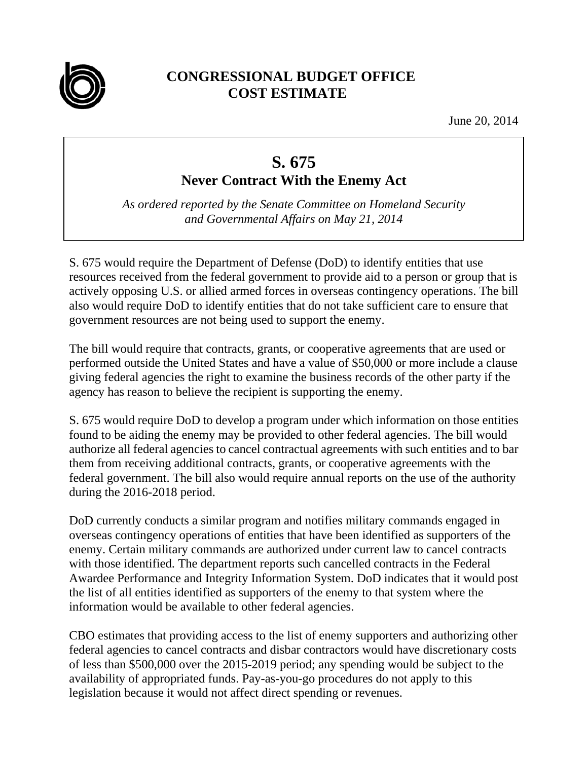

## **CONGRESSIONAL BUDGET OFFICE COST ESTIMATE**

June 20, 2014

## **S. 675 Never Contract With the Enemy Act**

*As ordered reported by the Senate Committee on Homeland Security and Governmental Affairs on May 21, 2014* 

S. 675 would require the Department of Defense (DoD) to identify entities that use resources received from the federal government to provide aid to a person or group that is actively opposing U.S. or allied armed forces in overseas contingency operations. The bill also would require DoD to identify entities that do not take sufficient care to ensure that government resources are not being used to support the enemy.

The bill would require that contracts, grants, or cooperative agreements that are used or performed outside the United States and have a value of \$50,000 or more include a clause giving federal agencies the right to examine the business records of the other party if the agency has reason to believe the recipient is supporting the enemy.

S. 675 would require DoD to develop a program under which information on those entities found to be aiding the enemy may be provided to other federal agencies. The bill would authorize all federal agencies to cancel contractual agreements with such entities and to bar them from receiving additional contracts, grants, or cooperative agreements with the federal government. The bill also would require annual reports on the use of the authority during the 2016-2018 period.

DoD currently conducts a similar program and notifies military commands engaged in overseas contingency operations of entities that have been identified as supporters of the enemy. Certain military commands are authorized under current law to cancel contracts with those identified. The department reports such cancelled contracts in the Federal Awardee Performance and Integrity Information System. DoD indicates that it would post the list of all entities identified as supporters of the enemy to that system where the information would be available to other federal agencies.

CBO estimates that providing access to the list of enemy supporters and authorizing other federal agencies to cancel contracts and disbar contractors would have discretionary costs of less than \$500,000 over the 2015-2019 period; any spending would be subject to the availability of appropriated funds. Pay-as-you-go procedures do not apply to this legislation because it would not affect direct spending or revenues.